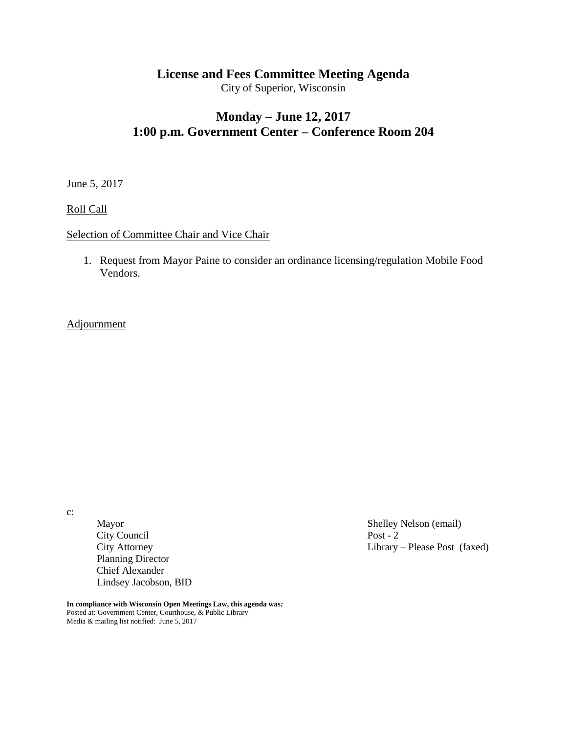# **License and Fees Committee Meeting Agenda**

City of Superior, Wisconsin

## **Monday – June 12, 2017 1:00 p.m. Government Center – Conference Room 204**

June 5, 2017

Roll Call

#### Selection of Committee Chair and Vice Chair

1. Request from Mayor Paine to consider an ordinance licensing/regulation Mobile Food Vendors.

#### **Adjournment**

c:

Mayor Shelley Nelson (email)<br>City Council Post - 2 City Council<br>City Attorney Planning Director Chief Alexander Lindsey Jacobson, BID

Library – Please Post (faxed)

**In compliance with Wisconsin Open Meetings Law, this agenda was***:* Posted at: Government Center, Courthouse, & Public Library Media & mailing list notified: June 5, 2017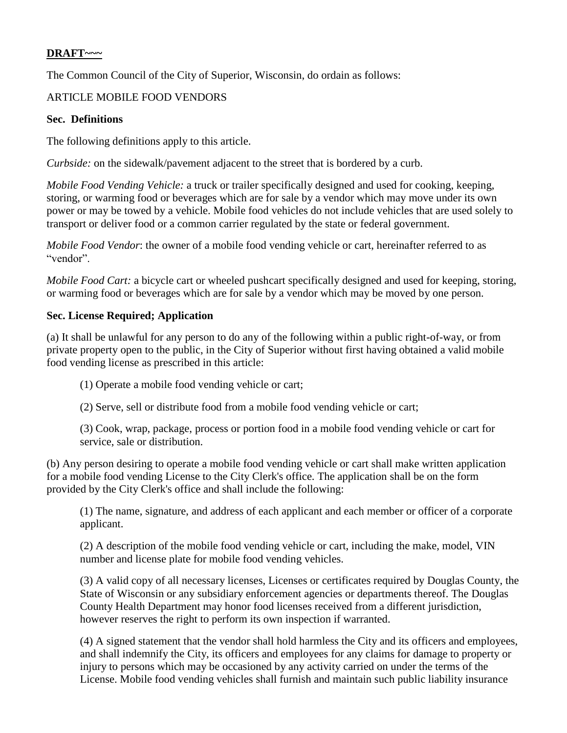## **DRAFT~~~**

The Common Council of the City of Superior, Wisconsin, do ordain as follows:

## ARTICLE MOBILE FOOD VENDORS

#### **Sec. Definitions**

The following definitions apply to this article.

*Curbside:* on the sidewalk/pavement adjacent to the street that is bordered by a curb.

*Mobile Food Vending Vehicle:* a truck or trailer specifically designed and used for cooking, keeping, storing, or warming food or beverages which are for sale by a vendor which may move under its own power or may be towed by a vehicle. Mobile food vehicles do not include vehicles that are used solely to transport or deliver food or a common carrier regulated by the state or federal government.

*Mobile Food Vendor*: the owner of a mobile food vending vehicle or cart, hereinafter referred to as "vendor".

*Mobile Food Cart:* a bicycle cart or wheeled pushcart specifically designed and used for keeping, storing, or warming food or beverages which are for sale by a vendor which may be moved by one person.

#### **Sec. License Required; Application**

(a) It shall be unlawful for any person to do any of the following within a public right-of-way, or from private property open to the public, in the City of Superior without first having obtained a valid mobile food vending license as prescribed in this article:

- (1) Operate a mobile food vending vehicle or cart;
- (2) Serve, sell or distribute food from a mobile food vending vehicle or cart;

(3) Cook, wrap, package, process or portion food in a mobile food vending vehicle or cart for service, sale or distribution.

(b) Any person desiring to operate a mobile food vending vehicle or cart shall make written application for a mobile food vending License to the City Clerk's office. The application shall be on the form provided by the City Clerk's office and shall include the following:

(1) The name, signature, and address of each applicant and each member or officer of a corporate applicant.

(2) A description of the mobile food vending vehicle or cart, including the make, model, VIN number and license plate for mobile food vending vehicles.

(3) A valid copy of all necessary licenses, Licenses or certificates required by Douglas County, the State of Wisconsin or any subsidiary enforcement agencies or departments thereof. The Douglas County Health Department may honor food licenses received from a different jurisdiction, however reserves the right to perform its own inspection if warranted.

(4) A signed statement that the vendor shall hold harmless the City and its officers and employees, and shall indemnify the City, its officers and employees for any claims for damage to property or injury to persons which may be occasioned by any activity carried on under the terms of the License. Mobile food vending vehicles shall furnish and maintain such public liability insurance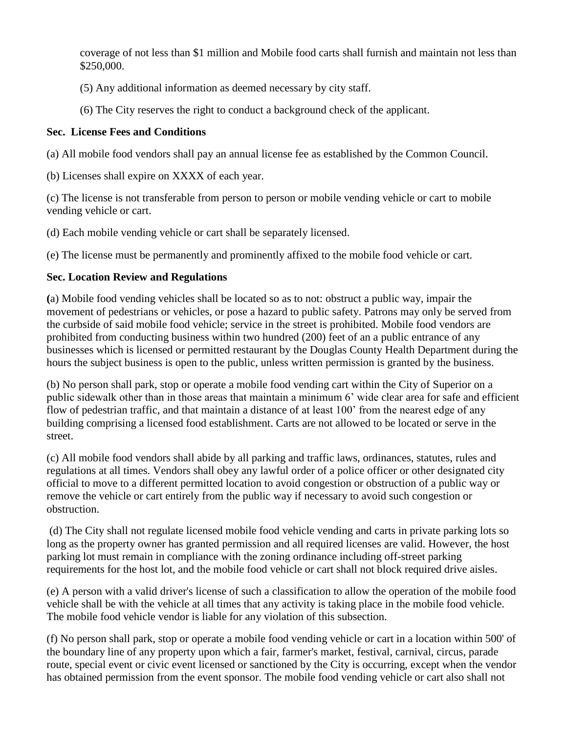coverage of not less than \$1 million and Mobile food carts shall furnish and maintain not less than \$250,000.

- (5) Any additional information as deemed necessary by city staff.
- (6) The City reserves the right to conduct a background check of the applicant.

### **Sec. License Fees and Conditions**

(a) All mobile food vendors shall pay an annual license fee as established by the Common Council.

(b) Licenses shall expire on XXXX of each year.

(c) The license is not transferable from person to person or mobile vending vehicle or cart to mobile vending vehicle or cart.

(d) Each mobile vending vehicle or cart shall be separately licensed.

(e) The license must be permanently and prominently affixed to the mobile food vehicle or cart.

## **Sec. Location Review and Regulations**

**(**a) Mobile food vending vehicles shall be located so as to not: obstruct a public way, impair the movement of pedestrians or vehicles, or pose a hazard to public safety. Patrons may only be served from the curbside of said mobile food vehicle; service in the street is prohibited. Mobile food vendors are prohibited from conducting business within two hundred (200) feet of an a public entrance of any businesses which is licensed or permitted restaurant by the Douglas County Health Department during the hours the subject business is open to the public, unless written permission is granted by the business.

(b) No person shall park, stop or operate a mobile food vending cart within the City of Superior on a public sidewalk other than in those areas that maintain a minimum 6' wide clear area for safe and efficient flow of pedestrian traffic, and that maintain a distance of at least 100' from the nearest edge of any building comprising a licensed food establishment. Carts are not allowed to be located or serve in the street.

(c) All mobile food vendors shall abide by all parking and traffic laws, ordinances, statutes, rules and regulations at all times. Vendors shall obey any lawful order of a police officer or other designated city official to move to a different permitted location to avoid congestion or obstruction of a public way or remove the vehicle or cart entirely from the public way if necessary to avoid such congestion or obstruction.

(d) The City shall not regulate licensed mobile food vehicle vending and carts in private parking lots so long as the property owner has granted permission and all required licenses are valid. However, the host parking lot must remain in compliance with the zoning ordinance including off-street parking requirements for the host lot, and the mobile food vehicle or cart shall not block required drive aisles.

(e) A person with a valid driver's license of such a classification to allow the operation of the mobile food vehicle shall be with the vehicle at all times that any activity is taking place in the mobile food vehicle. The mobile food vehicle vendor is liable for any violation of this subsection.

(f) No person shall park, stop or operate a mobile food vending vehicle or cart in a location within 500' of the boundary line of any property upon which a fair, farmer's market, festival, carnival, circus, parade route, special event or civic event licensed or sanctioned by the City is occurring, except when the vendor has obtained permission from the event sponsor. The mobile food vending vehicle or cart also shall not